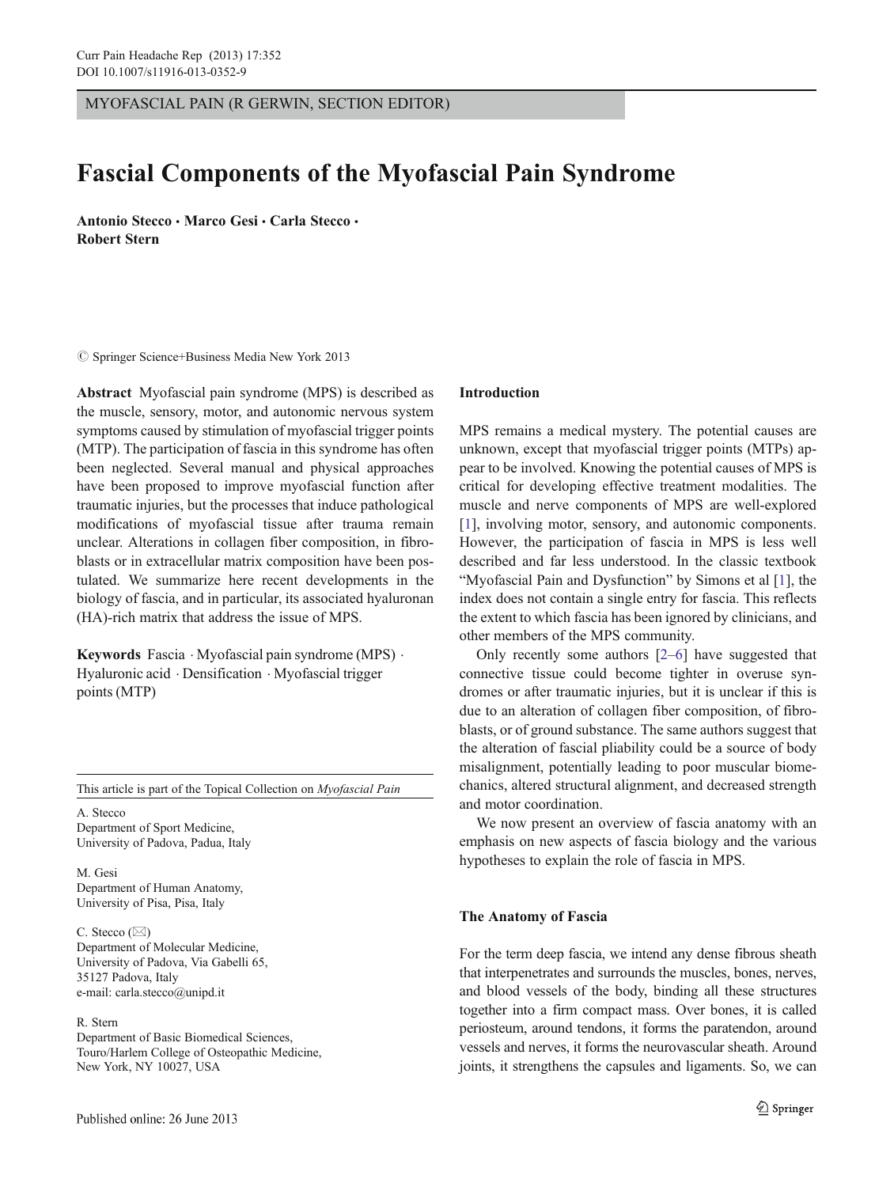MYOFASCIAL PAIN (R GERWIN, SECTION EDITOR)

# Fascial Components of the Myofascial Pain Syndrome

Antonio Stecco · Marco Gesi · Carla Stecco · Robert Stern

 $\oslash$  Springer Science+Business Media New York 2013

Abstract Myofascial pain syndrome (MPS) is described as the muscle, sensory, motor, and autonomic nervous system symptoms caused by stimulation of myofascial trigger points (MTP). The participation of fascia in this syndrome has often been neglected. Several manual and physical approaches have been proposed to improve myofascial function after traumatic injuries, but the processes that induce pathological modifications of myofascial tissue after trauma remain unclear. Alterations in collagen fiber composition, in fibroblasts or in extracellular matrix composition have been postulated. We summarize here recent developments in the biology of fascia, and in particular, its associated hyaluronan (HA)-rich matrix that address the issue of MPS.

Keywords Fascia . Myofascial pain syndrome (MPS) . Hyaluronic acid . Densification . Myofascial trigger points (MTP)

This article is part of the Topical Collection on Myofascial Pain

A. Stecco Department of Sport Medicine, University of Padova, Padua, Italy

M. Gesi Department of Human Anatomy, University of Pisa, Pisa, Italy

C. Stecco  $(\boxtimes)$ Department of Molecular Medicine, University of Padova, Via Gabelli 65, 35127 Padova, Italy e-mail: carla.stecco@unipd.it

R. Stern

Department of Basic Biomedical Sciences, Touro/Harlem College of Osteopathic Medicine, New York, NY 10027, USA

## Introduction

MPS remains a medical mystery. The potential causes are unknown, except that myofascial trigger points (MTPs) appear to be involved. Knowing the potential causes of MPS is critical for developing effective treatment modalities. The muscle and nerve components of MPS are well-explored [1], involving motor, sensory, and autonomic components. However, the participation of fascia in MPS is less well described and far less understood. In the classic textbook "Myofascial Pain and Dysfunction" by Simons et al [1], the index does not contain a single entry for fascia. This reflects the extent to which fascia has been ignored by clinicians, and other members of the MPS community.

Only recently some authors [2–6] have suggested that connective tissue could become tighter in overuse syndromes or after traumatic injuries, but it is unclear if this is due to an alteration of collagen fiber composition, of fibroblasts, or of ground substance. The same authors suggest that the alteration of fascial pliability could be a source of body misalignment, potentially leading to poor muscular biomechanics, altered structural alignment, and decreased strength and motor coordination.

We now present an overview of fascia anatomy with an emphasis on new aspects of fascia biology and the various hypotheses to explain the role of fascia in MPS.

#### The Anatomy of Fascia

For the term deep fascia, we intend any dense fibrous sheath that interpenetrates and surrounds the muscles, bones, nerves, and blood vessels of the body, binding all these structures together into a firm compact mass. Over bones, it is called periosteum, around tendons, it forms the paratendon, around vessels and nerves, it forms the neurovascular sheath. Around joints, it strengthens the capsules and ligaments. So, we can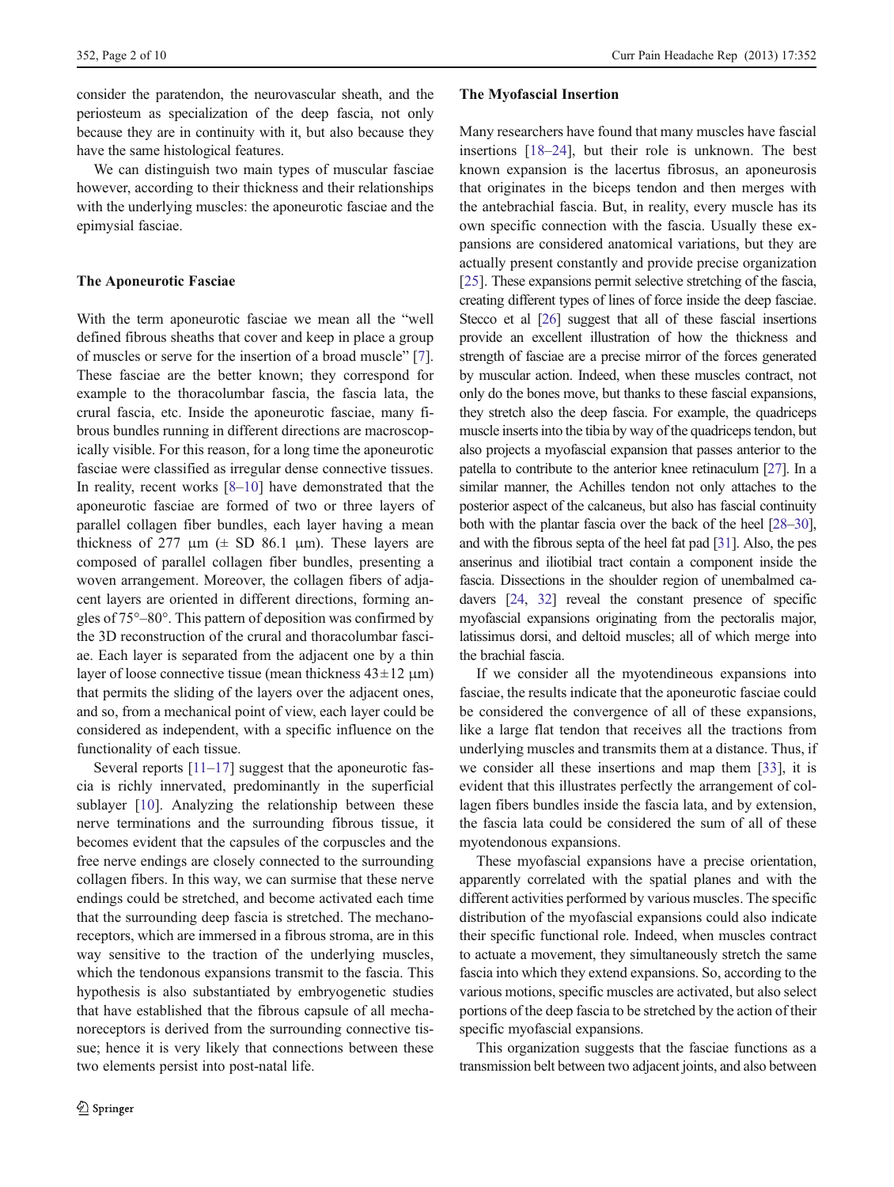consider the paratendon, the neurovascular sheath, and the periosteum as specialization of the deep fascia, not only because they are in continuity with it, but also because they have the same histological features.

We can distinguish two main types of muscular fasciae however, according to their thickness and their relationships with the underlying muscles: the aponeurotic fasciae and the epimysial fasciae.

#### The Aponeurotic Fasciae

With the term aponeurotic fasciae we mean all the "well defined fibrous sheaths that cover and keep in place a group of muscles or serve for the insertion of a broad muscle" [7]. These fasciae are the better known; they correspond for example to the thoracolumbar fascia, the fascia lata, the crural fascia, etc. Inside the aponeurotic fasciae, many fibrous bundles running in different directions are macroscopically visible. For this reason, for a long time the aponeurotic fasciae were classified as irregular dense connective tissues. In reality, recent works [8–10] have demonstrated that the aponeurotic fasciae are formed of two or three layers of parallel collagen fiber bundles, each layer having a mean thickness of 277  $\mu$ m ( $\pm$  SD 86.1  $\mu$ m). These layers are composed of parallel collagen fiber bundles, presenting a woven arrangement. Moreover, the collagen fibers of adjacent layers are oriented in different directions, forming angles of 75°–80°. This pattern of deposition was confirmed by the 3D reconstruction of the crural and thoracolumbar fasciae. Each layer is separated from the adjacent one by a thin layer of loose connective tissue (mean thickness  $43 \pm 12 \text{ }\mu\text{m}$ ) that permits the sliding of the layers over the adjacent ones, and so, from a mechanical point of view, each layer could be considered as independent, with a specific influence on the functionality of each tissue.

Several reports  $[11-17]$  suggest that the aponeurotic fascia is richly innervated, predominantly in the superficial sublayer [10]. Analyzing the relationship between these nerve terminations and the surrounding fibrous tissue, it becomes evident that the capsules of the corpuscles and the free nerve endings are closely connected to the surrounding collagen fibers. In this way, we can surmise that these nerve endings could be stretched, and become activated each time that the surrounding deep fascia is stretched. The mechanoreceptors, which are immersed in a fibrous stroma, are in this way sensitive to the traction of the underlying muscles, which the tendonous expansions transmit to the fascia. This hypothesis is also substantiated by embryogenetic studies that have established that the fibrous capsule of all mechanoreceptors is derived from the surrounding connective tissue; hence it is very likely that connections between these two elements persist into post-natal life.

#### The Myofascial Insertion

Many researchers have found that many muscles have fascial insertions [18–24], but their role is unknown. The best known expansion is the lacertus fibrosus, an aponeurosis that originates in the biceps tendon and then merges with the antebrachial fascia. But, in reality, every muscle has its own specific connection with the fascia. Usually these expansions are considered anatomical variations, but they are actually present constantly and provide precise organization [25]. These expansions permit selective stretching of the fascia, creating different types of lines of force inside the deep fasciae. Stecco et al [26] suggest that all of these fascial insertions provide an excellent illustration of how the thickness and strength of fasciae are a precise mirror of the forces generated by muscular action. Indeed, when these muscles contract, not only do the bones move, but thanks to these fascial expansions, they stretch also the deep fascia. For example, the quadriceps muscle inserts into the tibia by way of the quadriceps tendon, but also projects a myofascial expansion that passes anterior to the patella to contribute to the anterior knee retinaculum [27]. In a similar manner, the Achilles tendon not only attaches to the posterior aspect of the calcaneus, but also has fascial continuity both with the plantar fascia over the back of the heel [28–30], and with the fibrous septa of the heel fat pad [31]. Also, the pes anserinus and iliotibial tract contain a component inside the fascia. Dissections in the shoulder region of unembalmed cadavers [24, 32] reveal the constant presence of specific myofascial expansions originating from the pectoralis major, latissimus dorsi, and deltoid muscles; all of which merge into the brachial fascia.

If we consider all the myotendineous expansions into fasciae, the results indicate that the aponeurotic fasciae could be considered the convergence of all of these expansions, like a large flat tendon that receives all the tractions from underlying muscles and transmits them at a distance. Thus, if we consider all these insertions and map them [33], it is evident that this illustrates perfectly the arrangement of collagen fibers bundles inside the fascia lata, and by extension, the fascia lata could be considered the sum of all of these myotendonous expansions.

These myofascial expansions have a precise orientation, apparently correlated with the spatial planes and with the different activities performed by various muscles. The specific distribution of the myofascial expansions could also indicate their specific functional role. Indeed, when muscles contract to actuate a movement, they simultaneously stretch the same fascia into which they extend expansions. So, according to the various motions, specific muscles are activated, but also select portions of the deep fascia to be stretched by the action of their specific myofascial expansions.

This organization suggests that the fasciae functions as a transmission belt between two adjacent joints, and also between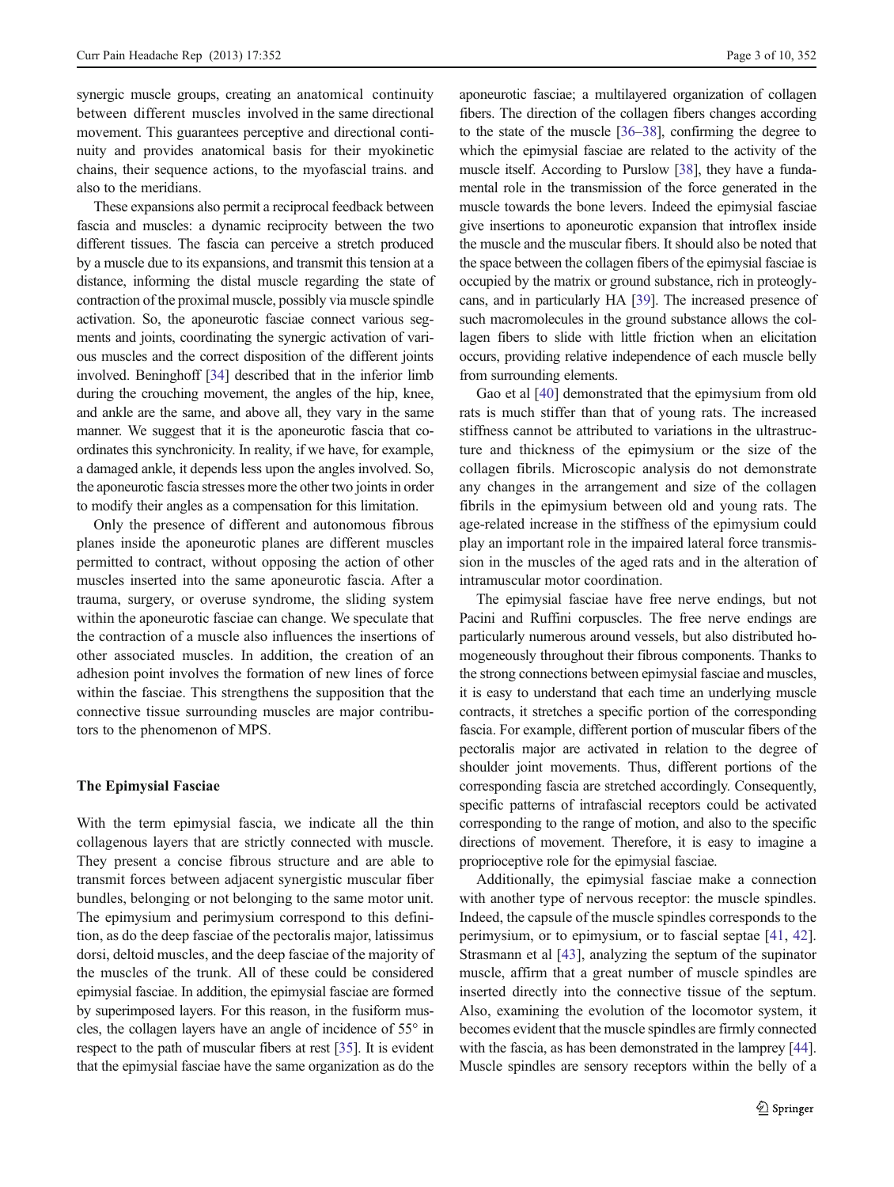synergic muscle groups, creating an anatomical continuity between different muscles involved in the same directional movement. This guarantees perceptive and directional continuity and provides anatomical basis for their myokinetic chains, their sequence actions, to the myofascial trains. and also to the meridians.

These expansions also permit a reciprocal feedback between fascia and muscles: a dynamic reciprocity between the two different tissues. The fascia can perceive a stretch produced by a muscle due to its expansions, and transmit this tension at a distance, informing the distal muscle regarding the state of contraction of the proximal muscle, possibly via muscle spindle activation. So, the aponeurotic fasciae connect various segments and joints, coordinating the synergic activation of various muscles and the correct disposition of the different joints involved. Beninghoff [34] described that in the inferior limb during the crouching movement, the angles of the hip, knee, and ankle are the same, and above all, they vary in the same manner. We suggest that it is the aponeurotic fascia that coordinates this synchronicity. In reality, if we have, for example, a damaged ankle, it depends less upon the angles involved. So, the aponeurotic fascia stresses more the other two joints in order to modify their angles as a compensation for this limitation.

Only the presence of different and autonomous fibrous planes inside the aponeurotic planes are different muscles permitted to contract, without opposing the action of other muscles inserted into the same aponeurotic fascia. After a trauma, surgery, or overuse syndrome, the sliding system within the aponeurotic fasciae can change. We speculate that the contraction of a muscle also influences the insertions of other associated muscles. In addition, the creation of an adhesion point involves the formation of new lines of force within the fasciae. This strengthens the supposition that the connective tissue surrounding muscles are major contributors to the phenomenon of MPS.

## The Epimysial Fasciae

With the term epimysial fascia, we indicate all the thin collagenous layers that are strictly connected with muscle. They present a concise fibrous structure and are able to transmit forces between adjacent synergistic muscular fiber bundles, belonging or not belonging to the same motor unit. The epimysium and perimysium correspond to this definition, as do the deep fasciae of the pectoralis major, latissimus dorsi, deltoid muscles, and the deep fasciae of the majority of the muscles of the trunk. All of these could be considered epimysial fasciae. In addition, the epimysial fasciae are formed by superimposed layers. For this reason, in the fusiform muscles, the collagen layers have an angle of incidence of 55° in respect to the path of muscular fibers at rest [35]. It is evident that the epimysial fasciae have the same organization as do the

aponeurotic fasciae; a multilayered organization of collagen fibers. The direction of the collagen fibers changes according to the state of the muscle [36–38], confirming the degree to which the epimysial fasciae are related to the activity of the muscle itself. According to Purslow [38], they have a fundamental role in the transmission of the force generated in the muscle towards the bone levers. Indeed the epimysial fasciae give insertions to aponeurotic expansion that introflex inside the muscle and the muscular fibers. It should also be noted that the space between the collagen fibers of the epimysial fasciae is occupied by the matrix or ground substance, rich in proteoglycans, and in particularly HA [39]. The increased presence of such macromolecules in the ground substance allows the collagen fibers to slide with little friction when an elicitation occurs, providing relative independence of each muscle belly from surrounding elements.

Gao et al [40] demonstrated that the epimysium from old rats is much stiffer than that of young rats. The increased stiffness cannot be attributed to variations in the ultrastructure and thickness of the epimysium or the size of the collagen fibrils. Microscopic analysis do not demonstrate any changes in the arrangement and size of the collagen fibrils in the epimysium between old and young rats. The age-related increase in the stiffness of the epimysium could play an important role in the impaired lateral force transmission in the muscles of the aged rats and in the alteration of intramuscular motor coordination.

The epimysial fasciae have free nerve endings, but not Pacini and Ruffini corpuscles. The free nerve endings are particularly numerous around vessels, but also distributed homogeneously throughout their fibrous components. Thanks to the strong connections between epimysial fasciae and muscles, it is easy to understand that each time an underlying muscle contracts, it stretches a specific portion of the corresponding fascia. For example, different portion of muscular fibers of the pectoralis major are activated in relation to the degree of shoulder joint movements. Thus, different portions of the corresponding fascia are stretched accordingly. Consequently, specific patterns of intrafascial receptors could be activated corresponding to the range of motion, and also to the specific directions of movement. Therefore, it is easy to imagine a proprioceptive role for the epimysial fasciae.

Additionally, the epimysial fasciae make a connection with another type of nervous receptor: the muscle spindles. Indeed, the capsule of the muscle spindles corresponds to the perimysium, or to epimysium, or to fascial septae [41, 42]. Strasmann et al [43], analyzing the septum of the supinator muscle, affirm that a great number of muscle spindles are inserted directly into the connective tissue of the septum. Also, examining the evolution of the locomotor system, it becomes evident that the muscle spindles are firmly connected with the fascia, as has been demonstrated in the lamprey [44]. Muscle spindles are sensory receptors within the belly of a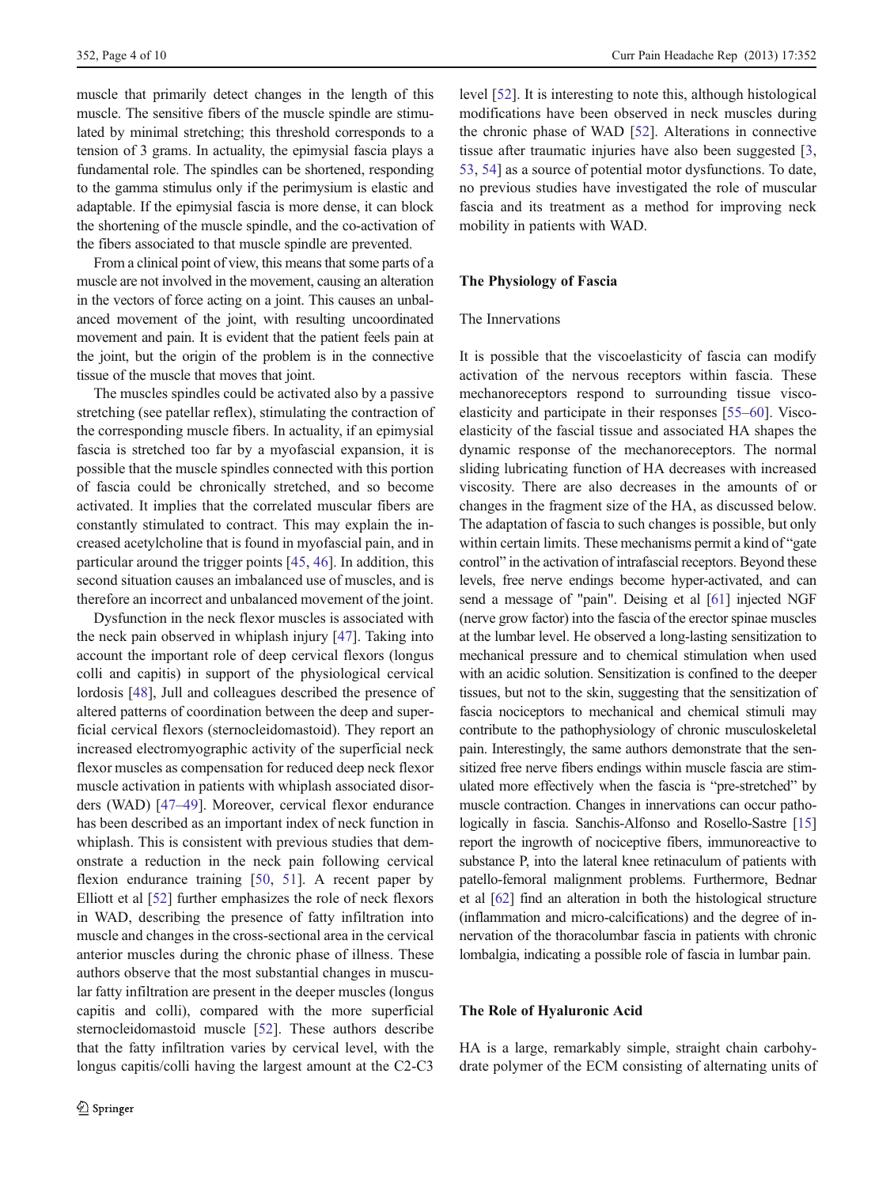muscle that primarily detect changes in the length of this muscle. The sensitive fibers of the muscle spindle are stimulated by minimal stretching; this threshold corresponds to a tension of 3 grams. In actuality, the epimysial fascia plays a fundamental role. The spindles can be shortened, responding to the gamma stimulus only if the perimysium is elastic and adaptable. If the epimysial fascia is more dense, it can block the shortening of the muscle spindle, and the co-activation of the fibers associated to that muscle spindle are prevented.

From a clinical point of view, this means that some parts of a muscle are not involved in the movement, causing an alteration in the vectors of force acting on a joint. This causes an unbalanced movement of the joint, with resulting uncoordinated movement and pain. It is evident that the patient feels pain at the joint, but the origin of the problem is in the connective tissue of the muscle that moves that joint.

The muscles spindles could be activated also by a passive stretching (see patellar reflex), stimulating the contraction of the corresponding muscle fibers. In actuality, if an epimysial fascia is stretched too far by a myofascial expansion, it is possible that the muscle spindles connected with this portion of fascia could be chronically stretched, and so become activated. It implies that the correlated muscular fibers are constantly stimulated to contract. This may explain the increased acetylcholine that is found in myofascial pain, and in particular around the trigger points [45, 46]. In addition, this second situation causes an imbalanced use of muscles, and is therefore an incorrect and unbalanced movement of the joint.

Dysfunction in the neck flexor muscles is associated with the neck pain observed in whiplash injury [47]. Taking into account the important role of deep cervical flexors (longus colli and capitis) in support of the physiological cervical lordosis [48], Jull and colleagues described the presence of altered patterns of coordination between the deep and superficial cervical flexors (sternocleidomastoid). They report an increased electromyographic activity of the superficial neck flexor muscles as compensation for reduced deep neck flexor muscle activation in patients with whiplash associated disorders (WAD) [47–49]. Moreover, cervical flexor endurance has been described as an important index of neck function in whiplash. This is consistent with previous studies that demonstrate a reduction in the neck pain following cervical flexion endurance training [50, 51]. A recent paper by Elliott et al [52] further emphasizes the role of neck flexors in WAD, describing the presence of fatty infiltration into muscle and changes in the cross-sectional area in the cervical anterior muscles during the chronic phase of illness. These authors observe that the most substantial changes in muscular fatty infiltration are present in the deeper muscles (longus capitis and colli), compared with the more superficial sternocleidomastoid muscle [52]. These authors describe that the fatty infiltration varies by cervical level, with the longus capitis/colli having the largest amount at the C2-C3

level [52]. It is interesting to note this, although histological modifications have been observed in neck muscles during the chronic phase of WAD [52]. Alterations in connective tissue after traumatic injuries have also been suggested [3, 53, 54] as a source of potential motor dysfunctions. To date, no previous studies have investigated the role of muscular fascia and its treatment as a method for improving neck mobility in patients with WAD.

#### The Physiology of Fascia

## The Innervations

It is possible that the viscoelasticity of fascia can modify activation of the nervous receptors within fascia. These mechanoreceptors respond to surrounding tissue viscoelasticity and participate in their responses [55–60]. Viscoelasticity of the fascial tissue and associated HA shapes the dynamic response of the mechanoreceptors. The normal sliding lubricating function of HA decreases with increased viscosity. There are also decreases in the amounts of or changes in the fragment size of the HA, as discussed below. The adaptation of fascia to such changes is possible, but only within certain limits. These mechanisms permit a kind of "gate control" in the activation of intrafascial receptors. Beyond these levels, free nerve endings become hyper-activated, and can send a message of "pain". Deising et al [61] injected NGF (nerve grow factor) into the fascia of the erector spinae muscles at the lumbar level. He observed a long-lasting sensitization to mechanical pressure and to chemical stimulation when used with an acidic solution. Sensitization is confined to the deeper tissues, but not to the skin, suggesting that the sensitization of fascia nociceptors to mechanical and chemical stimuli may contribute to the pathophysiology of chronic musculoskeletal pain. Interestingly, the same authors demonstrate that the sensitized free nerve fibers endings within muscle fascia are stimulated more effectively when the fascia is "pre-stretched" by muscle contraction. Changes in innervations can occur pathologically in fascia. Sanchis-Alfonso and Rosello-Sastre [15] report the ingrowth of nociceptive fibers, immunoreactive to substance P, into the lateral knee retinaculum of patients with patello-femoral malignment problems. Furthermore, Bednar et al [62] find an alteration in both the histological structure (inflammation and micro-calcifications) and the degree of innervation of the thoracolumbar fascia in patients with chronic lombalgia, indicating a possible role of fascia in lumbar pain.

# The Role of Hyaluronic Acid

HA is a large, remarkably simple, straight chain carbohydrate polymer of the ECM consisting of alternating units of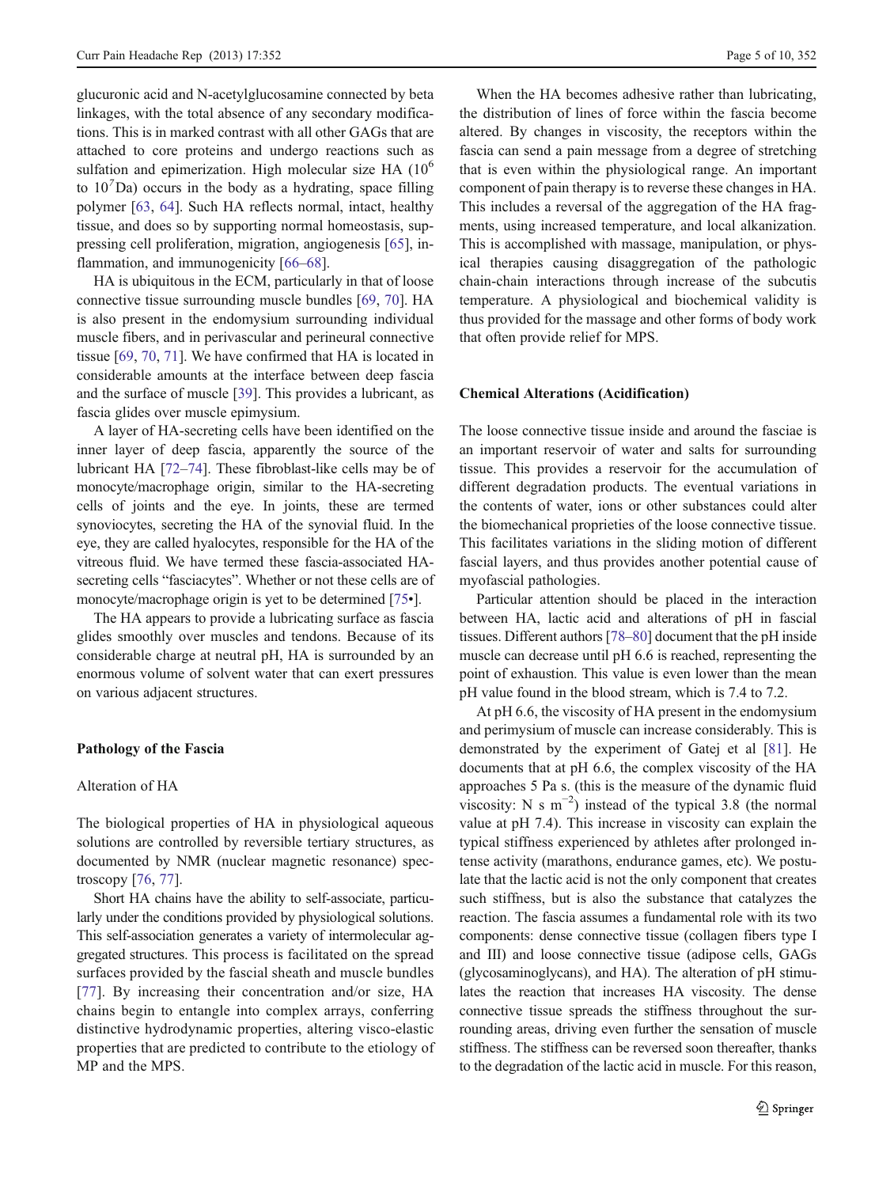glucuronic acid and N-acetylglucosamine connected by beta linkages, with the total absence of any secondary modifications. This is in marked contrast with all other GAGs that are attached to core proteins and undergo reactions such as sulfation and epimerization. High molecular size HA (10<sup>6</sup>) to  $10^7$ Da) occurs in the body as a hydrating, space filling polymer [63, 64]. Such HA reflects normal, intact, healthy tissue, and does so by supporting normal homeostasis, suppressing cell proliferation, migration, angiogenesis [65], inflammation, and immunogenicity [66–68].

HA is ubiquitous in the ECM, particularly in that of loose connective tissue surrounding muscle bundles [69, 70]. HA is also present in the endomysium surrounding individual muscle fibers, and in perivascular and perineural connective tissue [69, 70, 71]. We have confirmed that HA is located in considerable amounts at the interface between deep fascia and the surface of muscle [39]. This provides a lubricant, as fascia glides over muscle epimysium.

A layer of HA-secreting cells have been identified on the inner layer of deep fascia, apparently the source of the lubricant HA [72–74]. These fibroblast-like cells may be of monocyte/macrophage origin, similar to the HA-secreting cells of joints and the eye. In joints, these are termed synoviocytes, secreting the HA of the synovial fluid. In the eye, they are called hyalocytes, responsible for the HA of the vitreous fluid. We have termed these fascia-associated HAsecreting cells "fasciacytes". Whether or not these cells are of monocyte/macrophage origin is yet to be determined [75•].

The HA appears to provide a lubricating surface as fascia glides smoothly over muscles and tendons. Because of its considerable charge at neutral pH, HA is surrounded by an enormous volume of solvent water that can exert pressures on various adjacent structures.

## Pathology of the Fascia

## Alteration of HA

The biological properties of HA in physiological aqueous solutions are controlled by reversible tertiary structures, as documented by NMR (nuclear magnetic resonance) spectroscopy [76, 77].

Short HA chains have the ability to self-associate, particularly under the conditions provided by physiological solutions. This self-association generates a variety of intermolecular aggregated structures. This process is facilitated on the spread surfaces provided by the fascial sheath and muscle bundles [77]. By increasing their concentration and/or size, HA chains begin to entangle into complex arrays, conferring distinctive hydrodynamic properties, altering visco-elastic properties that are predicted to contribute to the etiology of MP and the MPS.

When the HA becomes adhesive rather than lubricating, the distribution of lines of force within the fascia become altered. By changes in viscosity, the receptors within the fascia can send a pain message from a degree of stretching that is even within the physiological range. An important component of pain therapy is to reverse these changes in HA. This includes a reversal of the aggregation of the HA fragments, using increased temperature, and local alkanization. This is accomplished with massage, manipulation, or physical therapies causing disaggregation of the pathologic chain-chain interactions through increase of the subcutis temperature. A physiological and biochemical validity is thus provided for the massage and other forms of body work that often provide relief for MPS.

#### Chemical Alterations (Acidification)

The loose connective tissue inside and around the fasciae is an important reservoir of water and salts for surrounding tissue. This provides a reservoir for the accumulation of different degradation products. The eventual variations in the contents of water, ions or other substances could alter the biomechanical proprieties of the loose connective tissue. This facilitates variations in the sliding motion of different fascial layers, and thus provides another potential cause of myofascial pathologies.

Particular attention should be placed in the interaction between HA, lactic acid and alterations of pH in fascial tissues. Different authors [78–80] document that the pH inside muscle can decrease until pH 6.6 is reached, representing the point of exhaustion. This value is even lower than the mean pH value found in the blood stream, which is 7.4 to 7.2.

At pH 6.6, the viscosity of HA present in the endomysium and perimysium of muscle can increase considerably. This is demonstrated by the experiment of Gatej et al [81]. He documents that at pH 6.6, the complex viscosity of the HA approaches 5 Pa s. (this is the measure of the dynamic fluid viscosity: N s  $m^{-2}$ ) instead of the typical 3.8 (the normal value at pH 7.4). This increase in viscosity can explain the typical stiffness experienced by athletes after prolonged intense activity (marathons, endurance games, etc). We postulate that the lactic acid is not the only component that creates such stiffness, but is also the substance that catalyzes the reaction. The fascia assumes a fundamental role with its two components: dense connective tissue (collagen fibers type I and III) and loose connective tissue (adipose cells, GAGs (glycosaminoglycans), and HA). The alteration of pH stimulates the reaction that increases HA viscosity. The dense connective tissue spreads the stiffness throughout the surrounding areas, driving even further the sensation of muscle stiffness. The stiffness can be reversed soon thereafter, thanks to the degradation of the lactic acid in muscle. For this reason,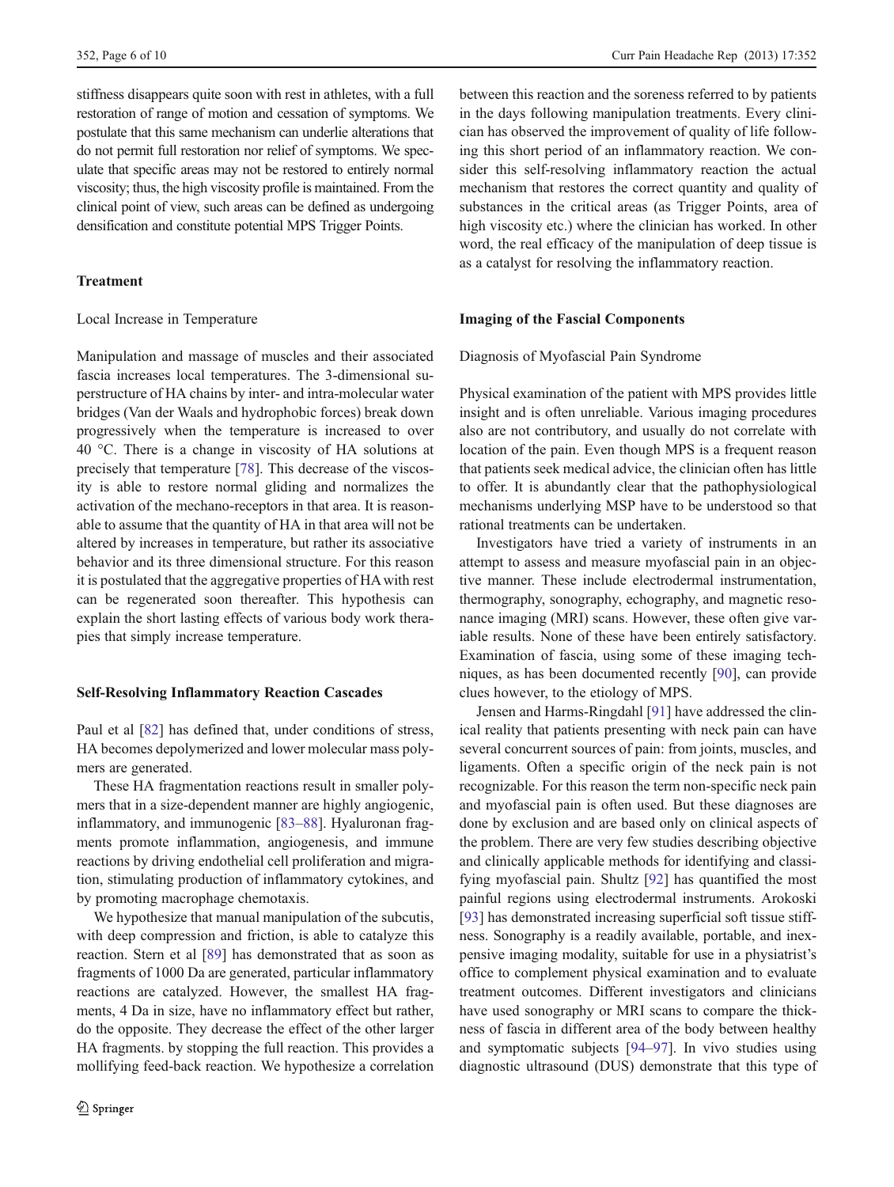stiffness disappears quite soon with rest in athletes, with a full restoration of range of motion and cessation of symptoms. We postulate that this same mechanism can underlie alterations that do not permit full restoration nor relief of symptoms. We speculate that specific areas may not be restored to entirely normal viscosity; thus, the high viscosity profile is maintained. From the clinical point of view, such areas can be defined as undergoing densification and constitute potential MPS Trigger Points.

## Treatment

#### Local Increase in Temperature

Manipulation and massage of muscles and their associated fascia increases local temperatures. The 3-dimensional superstructure of HA chains by inter- and intra-molecular water bridges (Van der Waals and hydrophobic forces) break down progressively when the temperature is increased to over 40 °C. There is a change in viscosity of HA solutions at precisely that temperature [78]. This decrease of the viscosity is able to restore normal gliding and normalizes the activation of the mechano-receptors in that area. It is reasonable to assume that the quantity of HA in that area will not be altered by increases in temperature, but rather its associative behavior and its three dimensional structure. For this reason it is postulated that the aggregative properties of HA with rest can be regenerated soon thereafter. This hypothesis can explain the short lasting effects of various body work therapies that simply increase temperature.

#### Self-Resolving Inflammatory Reaction Cascades

Paul et al [82] has defined that, under conditions of stress, HA becomes depolymerized and lower molecular mass polymers are generated.

These HA fragmentation reactions result in smaller polymers that in a size-dependent manner are highly angiogenic, inflammatory, and immunogenic [83–88]. Hyaluronan fragments promote inflammation, angiogenesis, and immune reactions by driving endothelial cell proliferation and migration, stimulating production of inflammatory cytokines, and by promoting macrophage chemotaxis.

We hypothesize that manual manipulation of the subcutis, with deep compression and friction, is able to catalyze this reaction. Stern et al [89] has demonstrated that as soon as fragments of 1000 Da are generated, particular inflammatory reactions are catalyzed. However, the smallest HA fragments, 4 Da in size, have no inflammatory effect but rather, do the opposite. They decrease the effect of the other larger HA fragments. by stopping the full reaction. This provides a mollifying feed-back reaction. We hypothesize a correlation

between this reaction and the soreness referred to by patients in the days following manipulation treatments. Every clinician has observed the improvement of quality of life following this short period of an inflammatory reaction. We consider this self-resolving inflammatory reaction the actual mechanism that restores the correct quantity and quality of substances in the critical areas (as Trigger Points, area of high viscosity etc.) where the clinician has worked. In other word, the real efficacy of the manipulation of deep tissue is as a catalyst for resolving the inflammatory reaction.

## Imaging of the Fascial Components

## Diagnosis of Myofascial Pain Syndrome

Physical examination of the patient with MPS provides little insight and is often unreliable. Various imaging procedures also are not contributory, and usually do not correlate with location of the pain. Even though MPS is a frequent reason that patients seek medical advice, the clinician often has little to offer. It is abundantly clear that the pathophysiological mechanisms underlying MSP have to be understood so that rational treatments can be undertaken.

Investigators have tried a variety of instruments in an attempt to assess and measure myofascial pain in an objective manner. These include electrodermal instrumentation, thermography, sonography, echography, and magnetic resonance imaging (MRI) scans. However, these often give variable results. None of these have been entirely satisfactory. Examination of fascia, using some of these imaging techniques, as has been documented recently [90], can provide clues however, to the etiology of MPS.

Jensen and Harms-Ringdahl [91] have addressed the clinical reality that patients presenting with neck pain can have several concurrent sources of pain: from joints, muscles, and ligaments. Often a specific origin of the neck pain is not recognizable. For this reason the term non-specific neck pain and myofascial pain is often used. But these diagnoses are done by exclusion and are based only on clinical aspects of the problem. There are very few studies describing objective and clinically applicable methods for identifying and classifying myofascial pain. Shultz [92] has quantified the most painful regions using electrodermal instruments. Arokoski [93] has demonstrated increasing superficial soft tissue stiffness. Sonography is a readily available, portable, and inexpensive imaging modality, suitable for use in a physiatrist's office to complement physical examination and to evaluate treatment outcomes. Different investigators and clinicians have used sonography or MRI scans to compare the thickness of fascia in different area of the body between healthy and symptomatic subjects [94–97]. In vivo studies using diagnostic ultrasound (DUS) demonstrate that this type of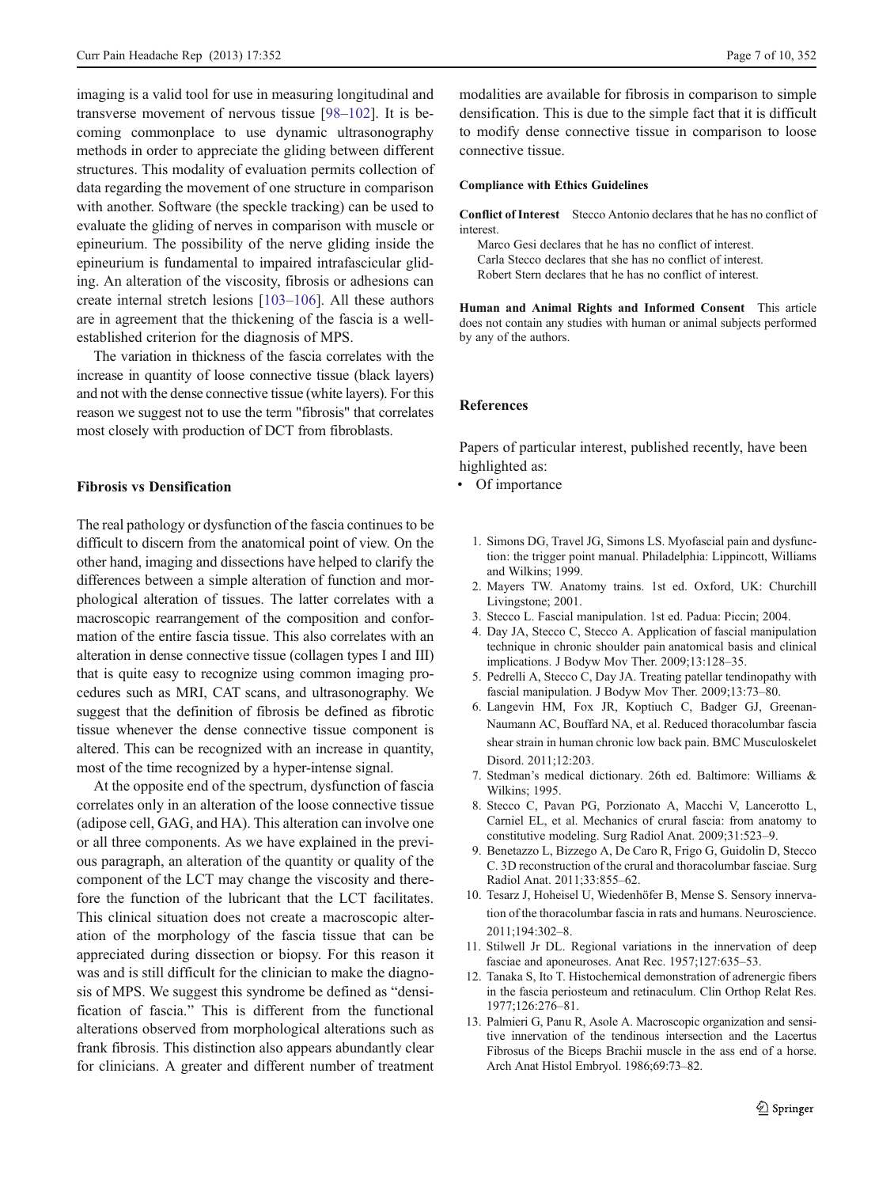imaging is a valid tool for use in measuring longitudinal and transverse movement of nervous tissue [98–102]. It is becoming commonplace to use dynamic ultrasonography methods in order to appreciate the gliding between different structures. This modality of evaluation permits collection of data regarding the movement of one structure in comparison with another. Software (the speckle tracking) can be used to evaluate the gliding of nerves in comparison with muscle or epineurium. The possibility of the nerve gliding inside the epineurium is fundamental to impaired intrafascicular gliding. An alteration of the viscosity, fibrosis or adhesions can create internal stretch lesions [103–106]. All these authors are in agreement that the thickening of the fascia is a wellestablished criterion for the diagnosis of MPS.

The variation in thickness of the fascia correlates with the increase in quantity of loose connective tissue (black layers) and not with the dense connective tissue (white layers). For this reason we suggest not to use the term "fibrosis" that correlates most closely with production of DCT from fibroblasts.

## Fibrosis vs Densification

The real pathology or dysfunction of the fascia continues to be difficult to discern from the anatomical point of view. On the other hand, imaging and dissections have helped to clarify the differences between a simple alteration of function and morphological alteration of tissues. The latter correlates with a macroscopic rearrangement of the composition and conformation of the entire fascia tissue. This also correlates with an alteration in dense connective tissue (collagen types I and III) that is quite easy to recognize using common imaging procedures such as MRI, CAT scans, and ultrasonography. We suggest that the definition of fibrosis be defined as fibrotic tissue whenever the dense connective tissue component is altered. This can be recognized with an increase in quantity, most of the time recognized by a hyper-intense signal.

At the opposite end of the spectrum, dysfunction of fascia correlates only in an alteration of the loose connective tissue (adipose cell, GAG, and HA). This alteration can involve one or all three components. As we have explained in the previous paragraph, an alteration of the quantity or quality of the component of the LCT may change the viscosity and therefore the function of the lubricant that the LCT facilitates. This clinical situation does not create a macroscopic alteration of the morphology of the fascia tissue that can be appreciated during dissection or biopsy. For this reason it was and is still difficult for the clinician to make the diagnosis of MPS. We suggest this syndrome be defined as "densification of fascia." This is different from the functional alterations observed from morphological alterations such as frank fibrosis. This distinction also appears abundantly clear for clinicians. A greater and different number of treatment

modalities are available for fibrosis in comparison to simple densification. This is due to the simple fact that it is difficult to modify dense connective tissue in comparison to loose connective tissue.

#### Compliance with Ethics Guidelines

Conflict of Interest Stecco Antonio declares that he has no conflict of interest.

Marco Gesi declares that he has no conflict of interest. Carla Stecco declares that she has no conflict of interest.

Robert Stern declares that he has no conflict of interest.

Human and Animal Rights and Informed Consent This article does not contain any studies with human or animal subjects performed by any of the authors.

#### References

Papers of particular interest, published recently, have been highlighted as:

- Of importance
	- 1. Simons DG, Travel JG, Simons LS. Myofascial pain and dysfunction: the trigger point manual. Philadelphia: Lippincott, Williams and Wilkins; 1999.
	- 2. Mayers TW. Anatomy trains. 1st ed. Oxford, UK: Churchill Livingstone; 2001.
	- 3. Stecco L. Fascial manipulation. 1st ed. Padua: Piccin; 2004.
	- 4. Day JA, Stecco C, Stecco A. Application of fascial manipulation technique in chronic shoulder pain anatomical basis and clinical implications. J Bodyw Mov Ther. 2009;13:128–35.
	- 5. Pedrelli A, Stecco C, Day JA. Treating patellar tendinopathy with fascial manipulation. J Bodyw Mov Ther. 2009;13:73–80.
	- 6. Langevin HM, Fox JR, Koptiuch C, Badger GJ, Greenan-Naumann AC, Bouffard NA, et al. Reduced thoracolumbar fascia shear strain in human chronic low back pain. BMC Musculoskelet Disord. 2011;12:203.
	- 7. Stedman's medical dictionary. 26th ed. Baltimore: Williams & Wilkins; 1995.
	- 8. Stecco C, Pavan PG, Porzionato A, Macchi V, Lancerotto L, Carniel EL, et al. Mechanics of crural fascia: from anatomy to constitutive modeling. Surg Radiol Anat. 2009;31:523–9.
	- 9. Benetazzo L, Bizzego A, De Caro R, Frigo G, Guidolin D, Stecco C. 3D reconstruction of the crural and thoracolumbar fasciae. Surg Radiol Anat. 2011;33:855–62.
	- 10. Tesarz J, Hoheisel U, Wiedenhöfer B, Mense S. Sensory innervation of the thoracolumbar fascia in rats and humans. Neuroscience. 2011;194:302–8.
	- 11. Stilwell Jr DL. Regional variations in the innervation of deep fasciae and aponeuroses. Anat Rec. 1957;127:635–53.
	- 12. Tanaka S, Ito T. Histochemical demonstration of adrenergic fibers in the fascia periosteum and retinaculum. Clin Orthop Relat Res. 1977;126:276–81.
	- 13. Palmieri G, Panu R, Asole A. Macroscopic organization and sensitive innervation of the tendinous intersection and the Lacertus Fibrosus of the Biceps Brachii muscle in the ass end of a horse. Arch Anat Histol Embryol. 1986;69:73–82.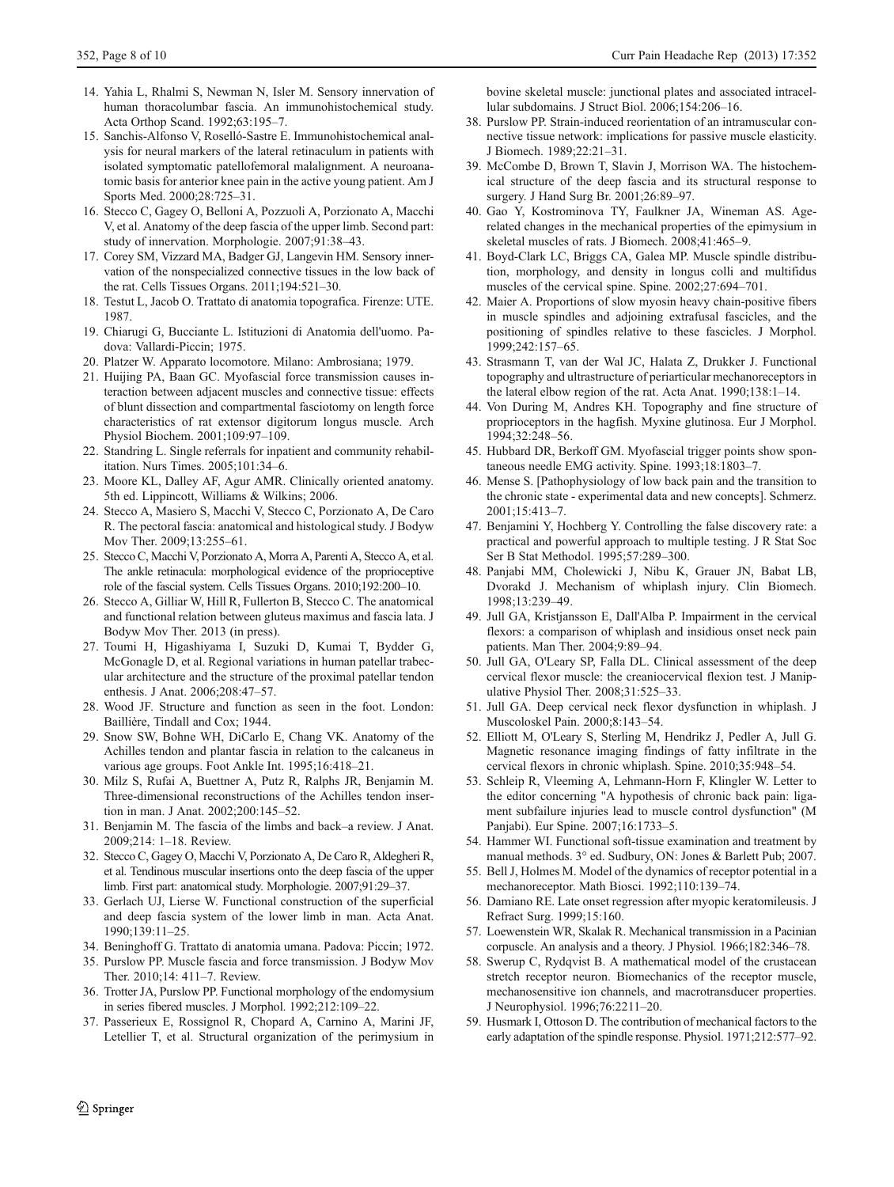- 14. Yahia L, Rhalmi S, Newman N, Isler M. Sensory innervation of human thoracolumbar fascia. An immunohistochemical study. Acta Orthop Scand. 1992;63:195–7.
- 15. Sanchis-Alfonso V, Roselló-Sastre E. Immunohistochemical analysis for neural markers of the lateral retinaculum in patients with isolated symptomatic patellofemoral malalignment. A neuroanatomic basis for anterior knee pain in the active young patient. Am J Sports Med. 2000;28:725–31.
- 16. Stecco C, Gagey O, Belloni A, Pozzuoli A, Porzionato A, Macchi V, et al. Anatomy of the deep fascia of the upper limb. Second part: study of innervation. Morphologie. 2007;91:38–43.
- 17. Corey SM, Vizzard MA, Badger GJ, Langevin HM. Sensory innervation of the nonspecialized connective tissues in the low back of the rat. Cells Tissues Organs. 2011;194:521–30.
- 18. Testut L, Jacob O. Trattato di anatomia topografica. Firenze: UTE. 1987.
- 19. Chiarugi G, Bucciante L. Istituzioni di Anatomia dell'uomo. Padova: Vallardi-Piccin; 1975.
- 20. Platzer W. Apparato locomotore. Milano: Ambrosiana; 1979.
- 21. Huijing PA, Baan GC. Myofascial force transmission causes interaction between adjacent muscles and connective tissue: effects of blunt dissection and compartmental fasciotomy on length force characteristics of rat extensor digitorum longus muscle. Arch Physiol Biochem. 2001;109:97–109.
- 22. Standring L. Single referrals for inpatient and community rehabilitation. Nurs Times. 2005;101:34–6.
- 23. Moore KL, Dalley AF, Agur AMR. Clinically oriented anatomy. 5th ed. Lippincott, Williams & Wilkins; 2006.
- 24. Stecco A, Masiero S, Macchi V, Stecco C, Porzionato A, De Caro R. The pectoral fascia: anatomical and histological study. J Bodyw Mov Ther. 2009;13:255–61.
- 25. Stecco C, Macchi V, Porzionato A, Morra A, Parenti A, Stecco A, et al. The ankle retinacula: morphological evidence of the proprioceptive role of the fascial system. Cells Tissues Organs. 2010;192:200–10.
- 26. Stecco A, Gilliar W, Hill R, Fullerton B, Stecco C. The anatomical and functional relation between gluteus maximus and fascia lata. J Bodyw Mov Ther. 2013 (in press).
- 27. Toumi H, Higashiyama I, Suzuki D, Kumai T, Bydder G, McGonagle D, et al. Regional variations in human patellar trabecular architecture and the structure of the proximal patellar tendon enthesis. J Anat. 2006;208:47–57.
- 28. Wood JF. Structure and function as seen in the foot. London: Baillière, Tindall and Cox; 1944.
- 29. Snow SW, Bohne WH, DiCarlo E, Chang VK. Anatomy of the Achilles tendon and plantar fascia in relation to the calcaneus in various age groups. Foot Ankle Int. 1995;16:418–21.
- 30. Milz S, Rufai A, Buettner A, Putz R, Ralphs JR, Benjamin M. Three-dimensional reconstructions of the Achilles tendon insertion in man. J Anat. 2002;200:145–52.
- 31. Benjamin M. The fascia of the limbs and back–a review. J Anat. 2009;214: 1–18. Review.
- 32. Stecco C, Gagey O, Macchi V, Porzionato A, De Caro R, Aldegheri R, et al. Tendinous muscular insertions onto the deep fascia of the upper limb. First part: anatomical study. Morphologie. 2007;91:29–37.
- 33. Gerlach UJ, Lierse W. Functional construction of the superficial and deep fascia system of the lower limb in man. Acta Anat. 1990;139:11–25.
- 34. Beninghoff G. Trattato di anatomia umana. Padova: Piccin; 1972.
- 35. Purslow PP. Muscle fascia and force transmission. J Bodyw Mov Ther. 2010;14: 411–7. Review.
- 36. Trotter JA, Purslow PP. Functional morphology of the endomysium in series fibered muscles. J Morphol. 1992;212:109–22.
- 37. Passerieux E, Rossignol R, Chopard A, Carnino A, Marini JF, Letellier T, et al. Structural organization of the perimysium in

bovine skeletal muscle: junctional plates and associated intracellular subdomains. J Struct Biol. 2006;154:206–16.

- 38. Purslow PP. Strain-induced reorientation of an intramuscular connective tissue network: implications for passive muscle elasticity. J Biomech. 1989;22:21–31.
- 39. McCombe D, Brown T, Slavin J, Morrison WA. The histochemical structure of the deep fascia and its structural response to surgery. J Hand Surg Br. 2001;26:89–97.
- 40. Gao Y, Kostrominova TY, Faulkner JA, Wineman AS. Agerelated changes in the mechanical properties of the epimysium in skeletal muscles of rats. J Biomech. 2008;41:465–9.
- 41. Boyd-Clark LC, Briggs CA, Galea MP. Muscle spindle distribution, morphology, and density in longus colli and multifidus muscles of the cervical spine. Spine. 2002;27:694–701.
- 42. Maier A. Proportions of slow myosin heavy chain-positive fibers in muscle spindles and adjoining extrafusal fascicles, and the positioning of spindles relative to these fascicles. J Morphol. 1999;242:157–65.
- 43. Strasmann T, van der Wal JC, Halata Z, Drukker J. Functional topography and ultrastructure of periarticular mechanoreceptors in the lateral elbow region of the rat. Acta Anat. 1990;138:1–14.
- 44. Von During M, Andres KH. Topography and fine structure of proprioceptors in the hagfish. Myxine glutinosa. Eur J Morphol. 1994;32:248–56.
- 45. Hubbard DR, Berkoff GM. Myofascial trigger points show spontaneous needle EMG activity. Spine. 1993;18:1803–7.
- 46. Mense S. [Pathophysiology of low back pain and the transition to the chronic state - experimental data and new concepts]. Schmerz. 2001;15:413–7.
- 47. Benjamini Y, Hochberg Y. Controlling the false discovery rate: a practical and powerful approach to multiple testing. J R Stat Soc Ser B Stat Methodol. 1995;57:289–300.
- 48. Panjabi MM, Cholewicki J, Nibu K, Grauer JN, Babat LB, Dvorakd J. Mechanism of whiplash injury. Clin Biomech. 1998;13:239–49.
- 49. Jull GA, Kristjansson E, Dall'Alba P. Impairment in the cervical flexors: a comparison of whiplash and insidious onset neck pain patients. Man Ther. 2004;9:89–94.
- 50. Jull GA, O'Leary SP, Falla DL. Clinical assessment of the deep cervical flexor muscle: the creaniocervical flexion test. J Manipulative Physiol Ther. 2008;31:525–33.
- 51. Jull GA. Deep cervical neck flexor dysfunction in whiplash. J Muscoloskel Pain. 2000;8:143–54.
- 52. Elliott M, O'Leary S, Sterling M, Hendrikz J, Pedler A, Jull G. Magnetic resonance imaging findings of fatty infiltrate in the cervical flexors in chronic whiplash. Spine. 2010;35:948–54.
- 53. Schleip R, Vleeming A, Lehmann-Horn F, Klingler W. Letter to the editor concerning "A hypothesis of chronic back pain: ligament subfailure injuries lead to muscle control dysfunction" (M Panjabi). Eur Spine. 2007;16:1733–5.
- 54. Hammer WI. Functional soft-tissue examination and treatment by manual methods. 3° ed. Sudbury, ON: Jones & Barlett Pub; 2007.
- 55. Bell J, Holmes M. Model of the dynamics of receptor potential in a mechanoreceptor. Math Biosci. 1992;110:139–74.
- 56. Damiano RE. Late onset regression after myopic keratomileusis. J Refract Surg. 1999;15:160.
- 57. Loewenstein WR, Skalak R. Mechanical transmission in a Pacinian corpuscle. An analysis and a theory. J Physiol. 1966;182:346–78.
- 58. Swerup C, Rydqvist B. A mathematical model of the crustacean stretch receptor neuron. Biomechanics of the receptor muscle, mechanosensitive ion channels, and macrotransducer properties. J Neurophysiol. 1996;76:2211–20.
- 59. Husmark I, Ottoson D. The contribution of mechanical factors to the early adaptation of the spindle response. Physiol. 1971;212:577–92.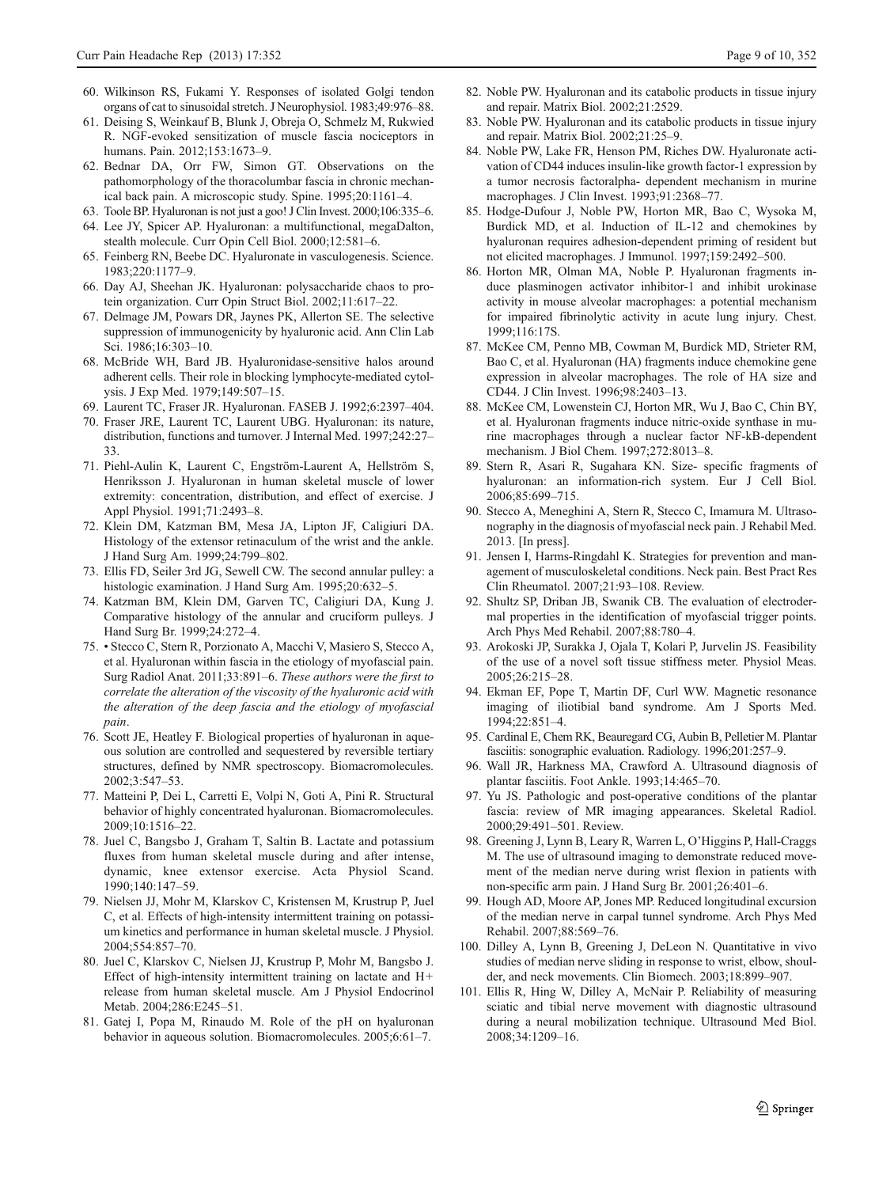- 60. Wilkinson RS, Fukami Y. Responses of isolated Golgi tendon organs of cat to sinusoidal stretch. J Neurophysiol. 1983;49:976–88.
- 61. Deising S, Weinkauf B, Blunk J, Obreja O, Schmelz M, Rukwied R. NGF-evoked sensitization of muscle fascia nociceptors in humans. Pain. 2012;153:1673–9.
- 62. Bednar DA, Orr FW, Simon GT. Observations on the pathomorphology of the thoracolumbar fascia in chronic mechanical back pain. A microscopic study. Spine. 1995;20:1161–4.
- 63. Toole BP. Hyaluronan is not just a goo! J Clin Invest. 2000;106:335–6.
- 64. Lee JY, Spicer AP. Hyaluronan: a multifunctional, megaDalton, stealth molecule. Curr Opin Cell Biol. 2000;12:581–6.
- 65. Feinberg RN, Beebe DC. Hyaluronate in vasculogenesis. Science. 1983;220:1177–9.
- 66. Day AJ, Sheehan JK. Hyaluronan: polysaccharide chaos to protein organization. Curr Opin Struct Biol. 2002;11:617–22.
- 67. Delmage JM, Powars DR, Jaynes PK, Allerton SE. The selective suppression of immunogenicity by hyaluronic acid. Ann Clin Lab Sci. 1986;16:303–10.
- 68. McBride WH, Bard JB. Hyaluronidase-sensitive halos around adherent cells. Their role in blocking lymphocyte-mediated cytolysis. J Exp Med. 1979;149:507–15.
- 69. Laurent TC, Fraser JR. Hyaluronan. FASEB J. 1992;6:2397–404.
- 70. Fraser JRE, Laurent TC, Laurent UBG. Hyaluronan: its nature, distribution, functions and turnover. J Internal Med. 1997;242:27– 33.
- 71. Piehl-Aulin K, Laurent C, Engström-Laurent A, Hellström S, Henriksson J. Hyaluronan in human skeletal muscle of lower extremity: concentration, distribution, and effect of exercise. J Appl Physiol. 1991;71:2493–8.
- 72. Klein DM, Katzman BM, Mesa JA, Lipton JF, Caligiuri DA. Histology of the extensor retinaculum of the wrist and the ankle. J Hand Surg Am. 1999;24:799–802.
- 73. Ellis FD, Seiler 3rd JG, Sewell CW. The second annular pulley: a histologic examination. J Hand Surg Am. 1995;20:632–5.
- 74. Katzman BM, Klein DM, Garven TC, Caligiuri DA, Kung J. Comparative histology of the annular and cruciform pulleys. J Hand Surg Br. 1999;24:272–4.
- 75. Stecco C, Stern R, Porzionato A, Macchi V, Masiero S, Stecco A, et al. Hyaluronan within fascia in the etiology of myofascial pain. Surg Radiol Anat. 2011;33:891–6. These authors were the first to correlate the alteration of the viscosity of the hyaluronic acid with the alteration of the deep fascia and the etiology of myofascial pain.
- 76. Scott JE, Heatley F. Biological properties of hyaluronan in aqueous solution are controlled and sequestered by reversible tertiary structures, defined by NMR spectroscopy. Biomacromolecules. 2002;3:547–53.
- 77. Matteini P, Dei L, Carretti E, Volpi N, Goti A, Pini R. Structural behavior of highly concentrated hyaluronan. Biomacromolecules. 2009;10:1516–22.
- 78. Juel C, Bangsbo J, Graham T, Saltin B. Lactate and potassium fluxes from human skeletal muscle during and after intense, dynamic, knee extensor exercise. Acta Physiol Scand. 1990;140:147–59.
- 79. Nielsen JJ, Mohr M, Klarskov C, Kristensen M, Krustrup P, Juel C, et al. Effects of high-intensity intermittent training on potassium kinetics and performance in human skeletal muscle. J Physiol. 2004;554:857–70.
- 80. Juel C, Klarskov C, Nielsen JJ, Krustrup P, Mohr M, Bangsbo J. Effect of high-intensity intermittent training on lactate and H+ release from human skeletal muscle. Am J Physiol Endocrinol Metab. 2004;286:E245–51.
- 81. Gatej I, Popa M, Rinaudo M. Role of the pH on hyaluronan behavior in aqueous solution. Biomacromolecules. 2005;6:61–7.
- 82. Noble PW. Hyaluronan and its catabolic products in tissue injury and repair. Matrix Biol. 2002;21:2529.
- 83. Noble PW. Hyaluronan and its catabolic products in tissue injury and repair. Matrix Biol. 2002;21:25–9.
- 84. Noble PW, Lake FR, Henson PM, Riches DW. Hyaluronate activation of CD44 induces insulin-like growth factor-1 expression by a tumor necrosis factoralpha- dependent mechanism in murine macrophages. J Clin Invest. 1993;91:2368–77.
- 85. Hodge-Dufour J, Noble PW, Horton MR, Bao C, Wysoka M, Burdick MD, et al. Induction of IL-12 and chemokines by hyaluronan requires adhesion-dependent priming of resident but not elicited macrophages. J Immunol. 1997;159:2492–500.
- 86. Horton MR, Olman MA, Noble P. Hyaluronan fragments induce plasminogen activator inhibitor-1 and inhibit urokinase activity in mouse alveolar macrophages: a potential mechanism for impaired fibrinolytic activity in acute lung injury. Chest. 1999;116:17S.
- 87. McKee CM, Penno MB, Cowman M, Burdick MD, Strieter RM, Bao C, et al. Hyaluronan (HA) fragments induce chemokine gene expression in alveolar macrophages. The role of HA size and CD44. J Clin Invest. 1996;98:2403–13.
- 88. McKee CM, Lowenstein CJ, Horton MR, Wu J, Bao C, Chin BY, et al. Hyaluronan fragments induce nitric-oxide synthase in murine macrophages through a nuclear factor NF-kB-dependent mechanism. J Biol Chem. 1997;272:8013–8.
- 89. Stern R, Asari R, Sugahara KN. Size- specific fragments of hyaluronan: an information-rich system. Eur J Cell Biol. 2006;85:699–715.
- 90. Stecco A, Meneghini A, Stern R, Stecco C, Imamura M. Ultrasonography in the diagnosis of myofascial neck pain. J Rehabil Med. 2013. [In press].
- 91. Jensen I, Harms-Ringdahl K. Strategies for prevention and management of musculoskeletal conditions. Neck pain. Best Pract Res Clin Rheumatol. 2007;21:93–108. Review.
- 92. Shultz SP, Driban JB, Swanik CB. The evaluation of electrodermal properties in the identification of myofascial trigger points. Arch Phys Med Rehabil. 2007;88:780–4.
- 93. Arokoski JP, Surakka J, Ojala T, Kolari P, Jurvelin JS. Feasibility of the use of a novel soft tissue stiffness meter. Physiol Meas. 2005;26:215–28.
- 94. Ekman EF, Pope T, Martin DF, Curl WW. Magnetic resonance imaging of iliotibial band syndrome. Am J Sports Med. 1994;22:851–4.
- 95. Cardinal E, Chem RK, Beauregard CG, Aubin B, Pelletier M. Plantar fasciitis: sonographic evaluation. Radiology. 1996;201:257–9.
- Wall JR, Harkness MA, Crawford A. Ultrasound diagnosis of plantar fasciitis. Foot Ankle. 1993;14:465–70.
- 97. Yu JS. Pathologic and post-operative conditions of the plantar fascia: review of MR imaging appearances. Skeletal Radiol. 2000;29:491–501. Review.
- 98. Greening J, Lynn B, Leary R, Warren L, O'Higgins P, Hall-Craggs M. The use of ultrasound imaging to demonstrate reduced movement of the median nerve during wrist flexion in patients with non-specific arm pain. J Hand Surg Br. 2001;26:401–6.
- 99. Hough AD, Moore AP, Jones MP. Reduced longitudinal excursion of the median nerve in carpal tunnel syndrome. Arch Phys Med Rehabil. 2007;88:569–76.
- 100. Dilley A, Lynn B, Greening J, DeLeon N. Quantitative in vivo studies of median nerve sliding in response to wrist, elbow, shoulder, and neck movements. Clin Biomech. 2003;18:899–907.
- 101. Ellis R, Hing W, Dilley A, McNair P. Reliability of measuring sciatic and tibial nerve movement with diagnostic ultrasound during a neural mobilization technique. Ultrasound Med Biol. 2008;34:1209–16.